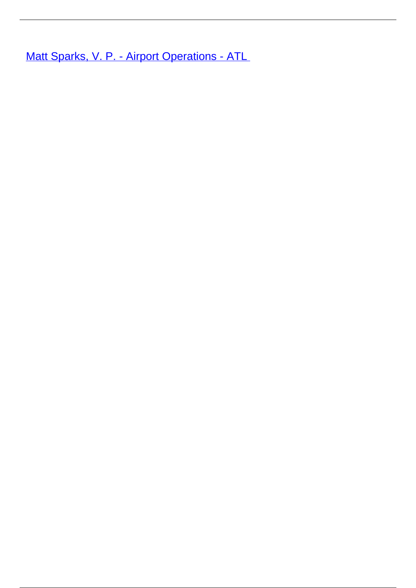**[Matt Sparks, V. P. - Airport Operations - ATL](/leader-bio-matt-sparks-v-p-airport-operations-atl)**